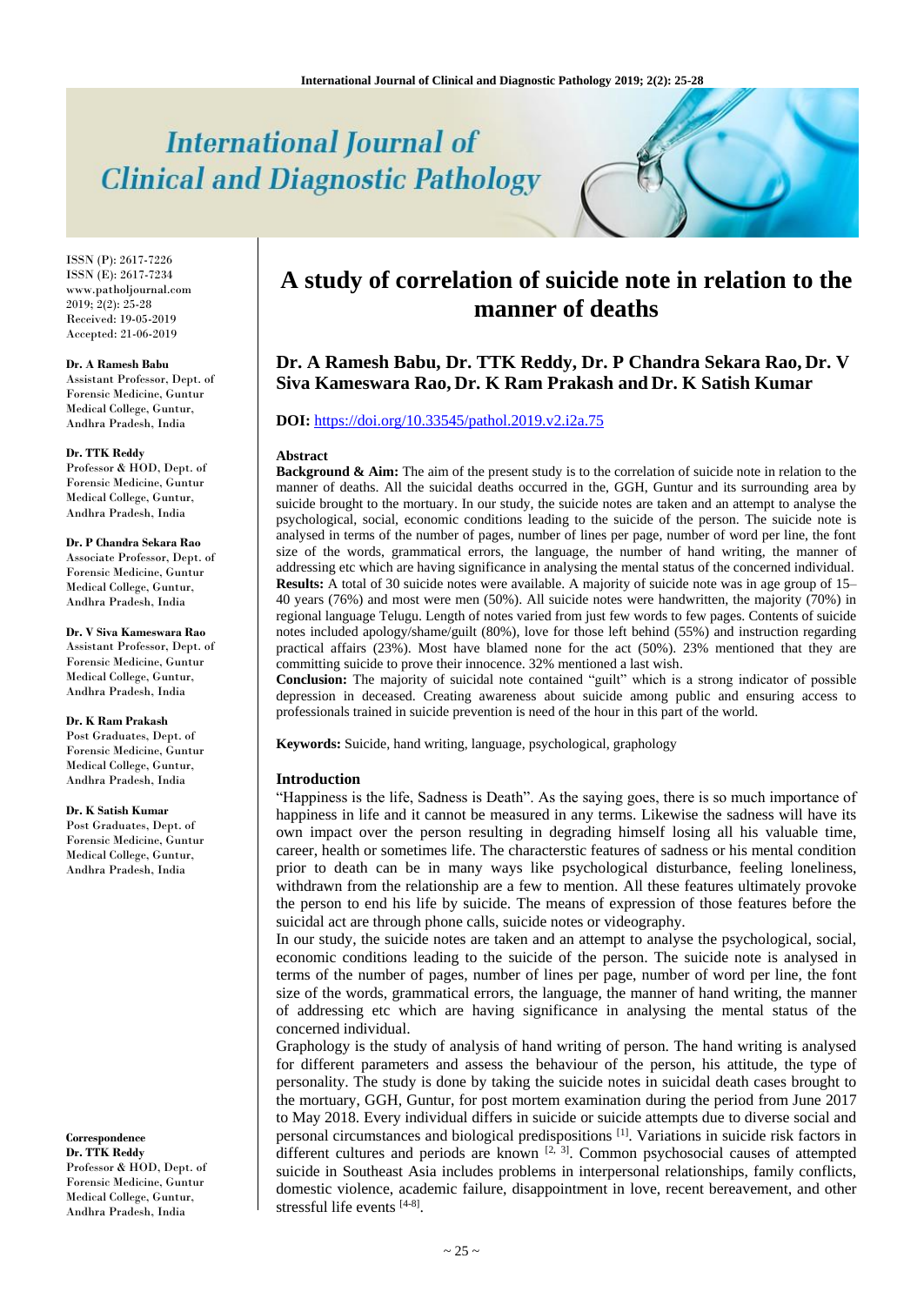# **International Journal of Clinical and Diagnostic Pathology**

ISSN (P): 2617-7226 ISSN (E): 2617-7234 www.patholjournal.com  $2019; 2(2): 25-28$ Received: 19-05-2019 Accepted: 21-06-2019

#### **Dr. A Ramesh Babu**

Assistant Professor, Dept. of Forensic Medicine, Guntur Medical College, Guntur, Andhra Pradesh, India

#### **Dr. TTK Reddy**

Professor & HOD, Dept. of Forensic Medicine, Guntur Medical College, Guntur, Andhra Pradesh, India

**Dr. P Chandra Sekara Rao** Associate Professor, Dept. of Forensic Medicine, Guntur Medical College, Guntur, Andhra Pradesh, India

**Dr. V Siva Kameswara Rao** Assistant Professor, Dept. of Forensic Medicine, Guntur Medical College, Guntur, Andhra Pradesh, India

#### **Dr. K Ram Prakash**

Post Graduates, Dept. of Forensic Medicine, Guntur Medical College, Guntur, Andhra Pradesh, India

#### **Dr. K Satish Kumar**

Post Graduates, Dept. of Forensic Medicine, Guntur Medical College, Guntur, Andhra Pradesh, India

#### **Correspondence**

**Dr. TTK Reddy** Professor & HOD, Dept. of Forensic Medicine, Guntur Medical College, Guntur, Andhra Pradesh, India

## **A study of correlation of suicide note in relation to the manner of deaths**

### **Dr. A Ramesh Babu, Dr. TTK Reddy, Dr. P Chandra Sekara Rao, Dr. V Siva Kameswara Rao, Dr. K Ram Prakash and Dr. K Satish Kumar**

#### **DOI:** <https://doi.org/10.33545/pathol.2019.v2.i2a.75>

#### **Abstract**

**Background & Aim:** The aim of the present study is to the correlation of suicide note in relation to the manner of deaths. All the suicidal deaths occurred in the, GGH, Guntur and its surrounding area by suicide brought to the mortuary. In our study, the suicide notes are taken and an attempt to analyse the psychological, social, economic conditions leading to the suicide of the person. The suicide note is analysed in terms of the number of pages, number of lines per page, number of word per line, the font size of the words, grammatical errors, the language, the number of hand writing, the manner of addressing etc which are having significance in analysing the mental status of the concerned individual. **Results:** A total of 30 suicide notes were available. A majority of suicide note was in age group of 15– 40 years (76%) and most were men (50%). All suicide notes were handwritten, the majority (70%) in regional language Telugu. Length of notes varied from just few words to few pages. Contents of suicide notes included apology/shame/guilt (80%), love for those left behind (55%) and instruction regarding practical affairs (23%). Most have blamed none for the act (50%). 23% mentioned that they are committing suicide to prove their innocence. 32% mentioned a last wish.

**Conclusion:** The majority of suicidal note contained "guilt" which is a strong indicator of possible depression in deceased. Creating awareness about suicide among public and ensuring access to professionals trained in suicide prevention is need of the hour in this part of the world.

**Keywords:** Suicide, hand writing, language, psychological, graphology

#### **Introduction**

"Happiness is the life, Sadness is Death". As the saying goes, there is so much importance of happiness in life and it cannot be measured in any terms. Likewise the sadness will have its own impact over the person resulting in degrading himself losing all his valuable time, career, health or sometimes life. The characterstic features of sadness or his mental condition prior to death can be in many ways like psychological disturbance, feeling loneliness, withdrawn from the relationship are a few to mention. All these features ultimately provoke the person to end his life by suicide. The means of expression of those features before the suicidal act are through phone calls, suicide notes or videography.

In our study, the suicide notes are taken and an attempt to analyse the psychological, social, economic conditions leading to the suicide of the person. The suicide note is analysed in terms of the number of pages, number of lines per page, number of word per line, the font size of the words, grammatical errors, the language, the manner of hand writing, the manner of addressing etc which are having significance in analysing the mental status of the concerned individual.

Graphology is the study of analysis of hand writing of person. The hand writing is analysed for different parameters and assess the behaviour of the person, his attitude, the type of personality. The study is done by taking the suicide notes in suicidal death cases brought to the mortuary, GGH, Guntur, for post mortem examination during the period from June 2017 to May 2018. Every individual differs in suicide or suicide attempts due to diverse social and personal circumstances and biological predispositions [1] . Variations in suicide risk factors in different cultures and periods are known  $[2, 3]$ . Common psychosocial causes of attempted suicide in Southeast Asia includes problems in interpersonal relationships, family conflicts, domestic violence, academic failure, disappointment in love, recent bereavement, and other stressful life events [4-8].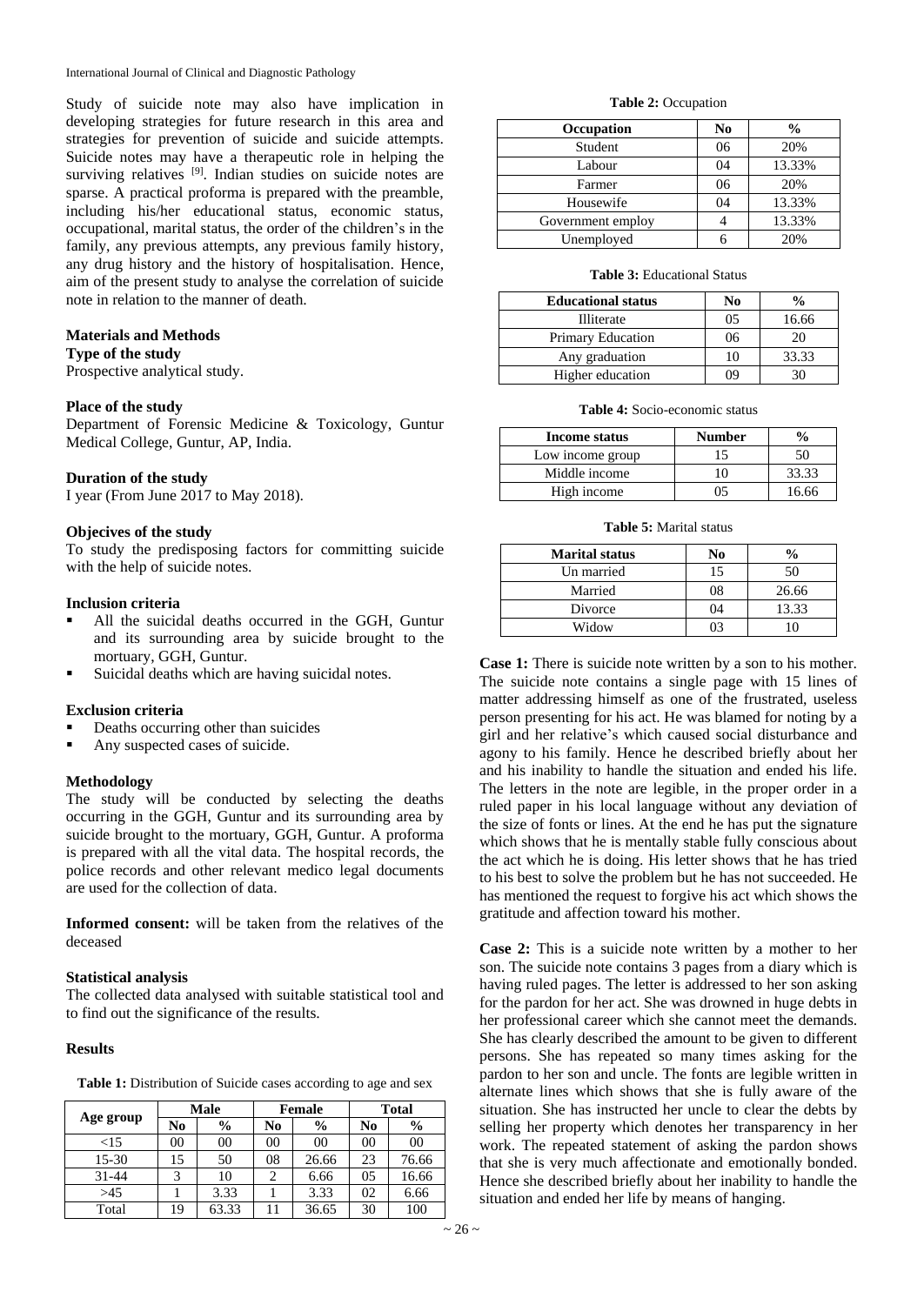International Journal of Clinical and Diagnostic Pathology

Study of suicide note may also have implication in developing strategies for future research in this area and strategies for prevention of suicide and suicide attempts. Suicide notes may have a therapeutic role in helping the surviving relatives <sup>[9]</sup>. Indian studies on suicide notes are sparse. A practical proforma is prepared with the preamble, including his/her educational status, economic status, occupational, marital status, the order of the children's in the family, any previous attempts, any previous family history, any drug history and the history of hospitalisation. Hence, aim of the present study to analyse the correlation of suicide note in relation to the manner of death.

#### **Materials and Methods**

**Type of the study**

Prospective analytical study.

#### **Place of the study**

Department of Forensic Medicine & Toxicology, Guntur Medical College, Guntur, AP, India.

#### **Duration of the study**

I year (From June 2017 to May 2018).

#### **Objecives of the study**

To study the predisposing factors for committing suicide with the help of suicide notes.

#### **Inclusion criteria**

- All the suicidal deaths occurred in the GGH, Guntur and its surrounding area by suicide brought to the mortuary, GGH, Guntur.
- Suicidal deaths which are having suicidal notes.

#### **Exclusion criteria**

- Deaths occurring other than suicides
- Any suspected cases of suicide.

#### **Methodology**

The study will be conducted by selecting the deaths occurring in the GGH, Guntur and its surrounding area by suicide brought to the mortuary, GGH, Guntur. A proforma is prepared with all the vital data. The hospital records, the police records and other relevant medico legal documents are used for the collection of data.

**Informed consent:** will be taken from the relatives of the deceased

#### **Statistical analysis**

The collected data analysed with suitable statistical tool and to find out the significance of the results.

#### **Results**

|  |  | Table 1: Distribution of Suicide cases according to age and sex |  |  |  |  |  |
|--|--|-----------------------------------------------------------------|--|--|--|--|--|
|--|--|-----------------------------------------------------------------|--|--|--|--|--|

|           | Male |               | <b>Female</b> |               | <b>Total</b> |               |
|-----------|------|---------------|---------------|---------------|--------------|---------------|
| Age group | No   | $\frac{6}{9}$ | No            | $\frac{0}{0}$ | No           | $\frac{6}{9}$ |
| ${<}15$   | 00   | 00            | 00            | 00            | 00           | 00            |
| $15 - 30$ | 15   | 50            | 08            | 26.66         | 23           | 76.66         |
| 31-44     | 3    | 10            |               | 6.66          | 05           | 16.66         |
| >45       |      | 3.33          |               | 3.33          | 02           | 6.66          |
| Total     | 19   | 63.33         |               | 36.65         | 30           | 100           |

#### **Table 2:** Occupation

| Occupation        | N <sub>0</sub> | $\frac{0}{0}$ |
|-------------------|----------------|---------------|
| Student           | 06             | 20%           |
| Labour            | 04             | 13.33%        |
| Farmer            | 06             | 20%           |
| Housewife         | 04             | 13.33%        |
| Government employ |                | 13.33%        |
| Unemployed        |                | 20%           |

#### **Table 3:** Educational Status

| <b>Educational status</b> | No      | $\frac{0}{0}$ |  |
|---------------------------|---------|---------------|--|
| <b>Illiterate</b>         | 05      | 16.66         |  |
| <b>Primary Education</b>  | 06      | 20            |  |
| Any graduation            | 10      | 33.33         |  |
| Higher education          | ( ) ( ) |               |  |

**Table 4:** Socio-economic status

| Income status    | <b>Number</b> | $\frac{0}{\alpha}$ |
|------------------|---------------|--------------------|
| Low income group |               | 50                 |
| Middle income    |               | 33.33              |
| High income      |               | 16 66              |

#### **Table 5:** Marital status

| <b>Marital status</b> | No | $\frac{0}{0}$ |
|-----------------------|----|---------------|
| Un married            | 15 | 50            |
| Married               | 08 | 26.66         |
| Divorce               | 04 | 13.33         |
| Widow                 | በ3 | 10            |

**Case 1:** There is suicide note written by a son to his mother. The suicide note contains a single page with 15 lines of matter addressing himself as one of the frustrated, useless person presenting for his act. He was blamed for noting by a girl and her relative's which caused social disturbance and agony to his family. Hence he described briefly about her and his inability to handle the situation and ended his life. The letters in the note are legible, in the proper order in a ruled paper in his local language without any deviation of the size of fonts or lines. At the end he has put the signature which shows that he is mentally stable fully conscious about the act which he is doing. His letter shows that he has tried to his best to solve the problem but he has not succeeded. He has mentioned the request to forgive his act which shows the gratitude and affection toward his mother.

**Case 2:** This is a suicide note written by a mother to her son. The suicide note contains 3 pages from a diary which is having ruled pages. The letter is addressed to her son asking for the pardon for her act. She was drowned in huge debts in her professional career which she cannot meet the demands. She has clearly described the amount to be given to different persons. She has repeated so many times asking for the pardon to her son and uncle. The fonts are legible written in alternate lines which shows that she is fully aware of the situation. She has instructed her uncle to clear the debts by selling her property which denotes her transparency in her work. The repeated statement of asking the pardon shows that she is very much affectionate and emotionally bonded. Hence she described briefly about her inability to handle the situation and ended her life by means of hanging.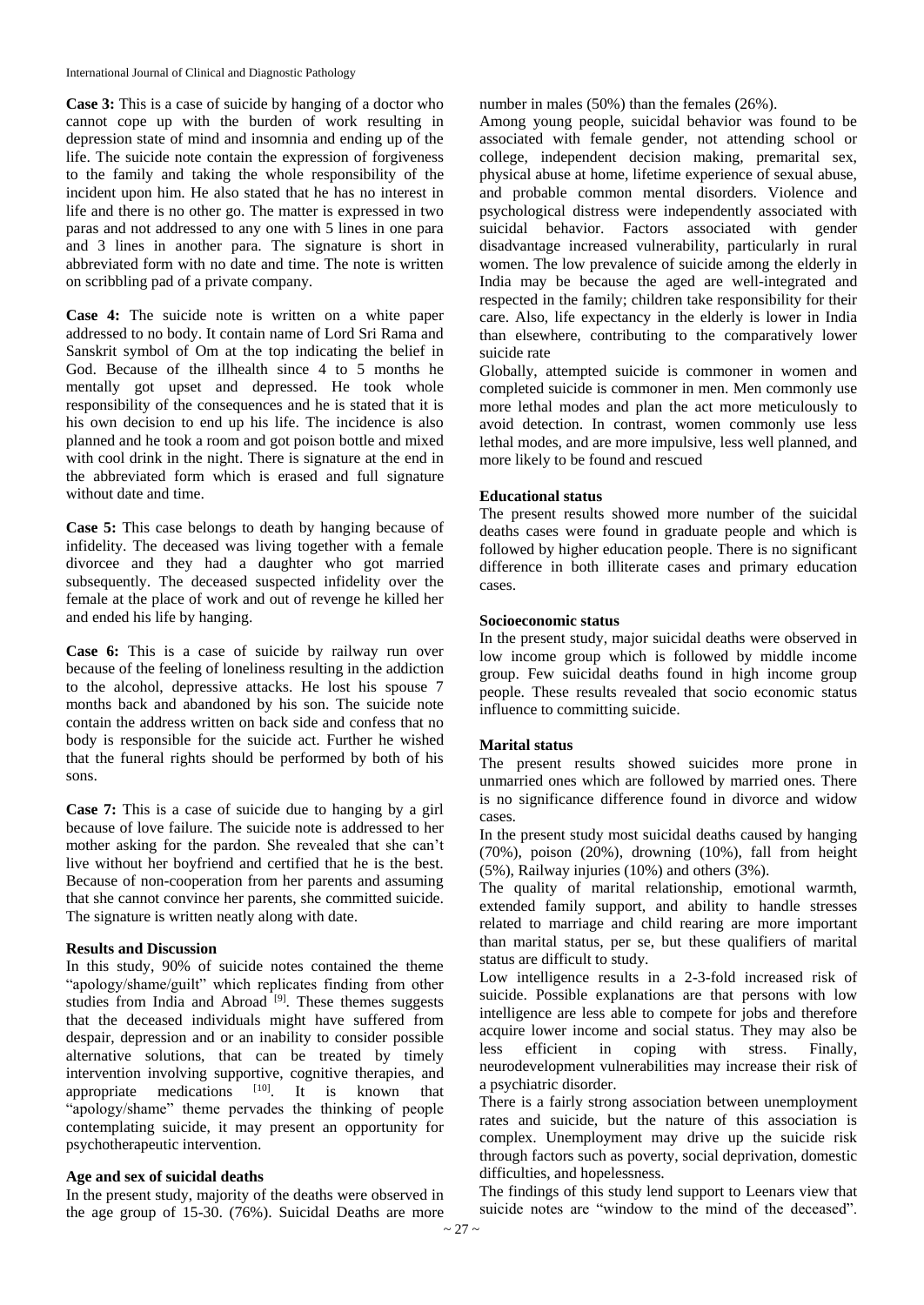International Journal of Clinical and Diagnostic Pathology

**Case 3:** This is a case of suicide by hanging of a doctor who cannot cope up with the burden of work resulting in depression state of mind and insomnia and ending up of the life. The suicide note contain the expression of forgiveness to the family and taking the whole responsibility of the incident upon him. He also stated that he has no interest in life and there is no other go. The matter is expressed in two paras and not addressed to any one with 5 lines in one para and 3 lines in another para. The signature is short in abbreviated form with no date and time. The note is written on scribbling pad of a private company.

**Case 4:** The suicide note is written on a white paper addressed to no body. It contain name of Lord Sri Rama and Sanskrit symbol of Om at the top indicating the belief in God. Because of the illhealth since 4 to 5 months he mentally got upset and depressed. He took whole responsibility of the consequences and he is stated that it is his own decision to end up his life. The incidence is also planned and he took a room and got poison bottle and mixed with cool drink in the night. There is signature at the end in the abbreviated form which is erased and full signature without date and time.

**Case 5:** This case belongs to death by hanging because of infidelity. The deceased was living together with a female divorcee and they had a daughter who got married subsequently. The deceased suspected infidelity over the female at the place of work and out of revenge he killed her and ended his life by hanging.

**Case 6:** This is a case of suicide by railway run over because of the feeling of loneliness resulting in the addiction to the alcohol, depressive attacks. He lost his spouse 7 months back and abandoned by his son. The suicide note contain the address written on back side and confess that no body is responsible for the suicide act. Further he wished that the funeral rights should be performed by both of his sons.

**Case 7:** This is a case of suicide due to hanging by a girl because of love failure. The suicide note is addressed to her mother asking for the pardon. She revealed that she can't live without her boyfriend and certified that he is the best. Because of non-cooperation from her parents and assuming that she cannot convince her parents, she committed suicide. The signature is written neatly along with date.

#### **Results and Discussion**

In this study, 90% of suicide notes contained the theme "apology/shame/guilt" which replicates finding from other studies from India and Abroad<sup>[9]</sup>. These themes suggests that the deceased individuals might have suffered from despair, depression and or an inability to consider possible alternative solutions, that can be treated by timely intervention involving supportive, cognitive therapies, and appropriate medications [10]. . It is known that "apology/shame" theme pervades the thinking of people contemplating suicide, it may present an opportunity for psychotherapeutic intervention.

#### **Age and sex of suicidal deaths**

In the present study, majority of the deaths were observed in the age group of 15-30. (76%). Suicidal Deaths are more number in males (50%) than the females (26%).

Among young people, suicidal behavior was found to be associated with female gender, not attending school or college, independent decision making, premarital sex, physical abuse at home, lifetime experience of sexual abuse, and probable common mental disorders. Violence and psychological distress were independently associated with suicidal behavior. Factors associated with gender disadvantage increased vulnerability, particularly in rural women. The low prevalence of suicide among the elderly in India may be because the aged are well-integrated and respected in the family; children take responsibility for their care. Also, life expectancy in the elderly is lower in India than elsewhere, contributing to the comparatively lower suicide rate

Globally, attempted suicide is commoner in women and completed suicide is commoner in men. Men commonly use more lethal modes and plan the act more meticulously to avoid detection. In contrast, women commonly use less lethal modes, and are more impulsive, less well planned, and more likely to be found and rescued

#### **Educational status**

The present results showed more number of the suicidal deaths cases were found in graduate people and which is followed by higher education people. There is no significant difference in both illiterate cases and primary education cases.

#### **Socioeconomic status**

In the present study, major suicidal deaths were observed in low income group which is followed by middle income group. Few suicidal deaths found in high income group people. These results revealed that socio economic status influence to committing suicide.

#### **Marital status**

The present results showed suicides more prone in unmarried ones which are followed by married ones. There is no significance difference found in divorce and widow cases.

In the present study most suicidal deaths caused by hanging (70%), poison (20%), drowning (10%), fall from height (5%), Railway injuries (10%) and others (3%).

The quality of marital relationship, emotional warmth, extended family support, and ability to handle stresses related to marriage and child rearing are more important than marital status, per se, but these qualifiers of marital status are difficult to study.

Low intelligence results in a 2-3-fold increased risk of suicide. Possible explanations are that persons with low intelligence are less able to compete for jobs and therefore acquire lower income and social status. They may also be less efficient in coping with stress. Finally, neurodevelopment vulnerabilities may increase their risk of a psychiatric disorder.

There is a fairly strong association between unemployment rates and suicide, but the nature of this association is complex. Unemployment may drive up the suicide risk through factors such as poverty, social deprivation, domestic difficulties, and hopelessness.

The findings of this study lend support to Leenars view that suicide notes are "window to the mind of the deceased".